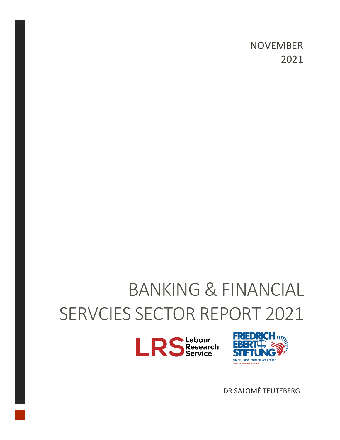NOVEMBER 2021

# BANKING & FINANCIAL SERVCIES SECTOR REPORT 2021





DR SALOMÉ TEUTEBERG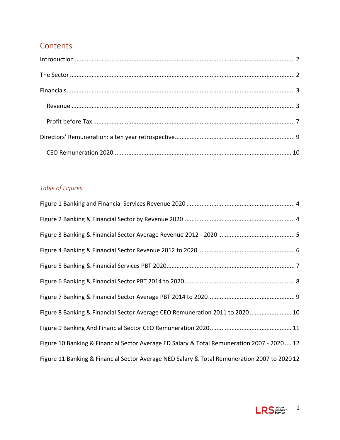#### **Contents**

#### *Table of Figures*

| Figure 8 Banking & Financial Sector Average CEO Remuneration 2011 to 2020  10                |
|----------------------------------------------------------------------------------------------|
|                                                                                              |
| Figure 10 Banking & Financial Sector Average ED Salary & Total Remuneration 2007 - 2020  12  |
| Figure 11 Banking & Financial Sector Average NED Salary & Total Remuneration 2007 to 2020 12 |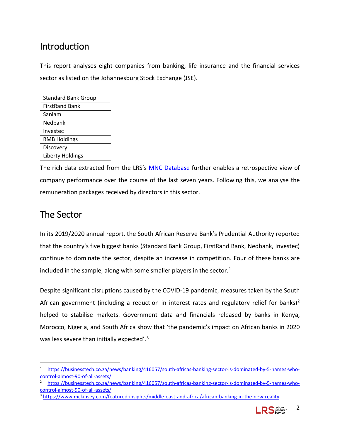## <span id="page-2-0"></span>Introduction

This report analyses eight companies from banking, life insurance and the financial services sector as listed on the Johannesburg Stock Exchange (JSE).

| <b>Standard Bank Group</b> |
|----------------------------|
| <b>FirstRand Bank</b>      |
| Sanlam                     |
| Nedbank                    |
| Investec                   |
| <b>RMB Holdings</b>        |
| Discovery                  |
| Liberty Holdings           |

The rich data extracted from the LRS's [MNC Database](https://lrs.dedicated.co.za/mnc/) further enables a retrospective view of company performance over the course of the last seven years. Following this, we analyse the remuneration packages received by directors in this sector.

## <span id="page-2-1"></span>The Sector

In its 2019/2020 annual report, the South African Reserve Bank's Prudential Authority reported that the country's five biggest banks (Standard Bank Group, FirstRand Bank, Nedbank, Investec) continue to dominate the sector, despite an increase in competition. Four of these banks are included in the sample, along with some smaller players in the sector. $1$ 

Despite significant disruptions caused by the COVID-19 pandemic, measures taken by the South African government (including a reduction in interest rates and regulatory relief for banks)<sup>[2](#page-2-3)</sup> helped to stabilise markets. Government data and financials released by banks in Kenya, Morocco, Nigeria, and South Africa show that 'the pandemic's impact on African banks in 2020 was less severe than initially expected'.<sup>[3](#page-2-4)</sup>

<span id="page-2-4"></span><sup>3</sup> <https://www.mckinsey.com/featured-insights/middle-east-and-africa/african-banking-in-the-new-reality>



<span id="page-2-2"></span>[https://businesstech.co.za/news/banking/416057/south-africas-banking-sector-is-dominated-by-5-names-who](https://businesstech.co.za/news/banking/416057/south-africas-banking-sector-is-dominated-by-5-names-who-control-almost-90-of-all-assets/)[control-almost-90-of-all-assets/](https://businesstech.co.za/news/banking/416057/south-africas-banking-sector-is-dominated-by-5-names-who-control-almost-90-of-all-assets/)

<span id="page-2-3"></span>[https://businesstech.co.za/news/banking/416057/south-africas-banking-sector-is-dominated-by-5-names-who](https://businesstech.co.za/news/banking/416057/south-africas-banking-sector-is-dominated-by-5-names-who-control-almost-90-of-all-assets/)[control-almost-90-of-all-assets/](https://businesstech.co.za/news/banking/416057/south-africas-banking-sector-is-dominated-by-5-names-who-control-almost-90-of-all-assets/)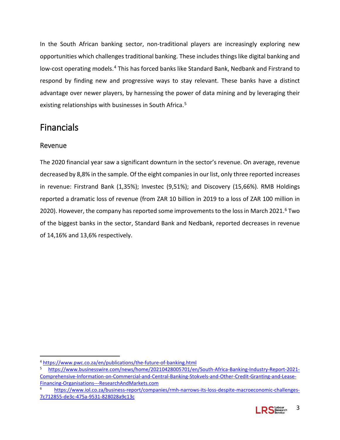In the South African banking sector, non-traditional players are increasingly exploring new opportunities which challenges traditional banking. These includes things like digital banking and low-cost operating models.<sup>[4](#page-3-2)</sup> This has forced banks like Standard Bank, Nedbank and Firstrand to respond by finding new and progressive ways to stay relevant. These banks have a distinct advantage over newer players, by harnessing the power of data mining and by leveraging their existing relationships with businesses in South Africa.<sup>[5](#page-3-3)</sup>

## <span id="page-3-0"></span>Financials

#### <span id="page-3-1"></span>Revenue

The 2020 financial year saw a significant downturn in the sector's revenue. On average, revenue decreased by 8,8% in the sample. Of the eight companies in our list, only three reported increases in revenue: Firstrand Bank (1,35%); Investec (9,51%); and Discovery (15,66%). RMB Holdings reported a dramatic loss of revenue (from ZAR 10 billion in 2019 to a loss of ZAR 100 million in 2020). However, the company has reported some improvements to the loss in March 2021.<sup>[6](#page-3-4)</sup> Two of the biggest banks in the sector, Standard Bank and Nedbank, reported decreases in revenue of 14,16% and 13,6% respectively.

<span id="page-3-4"></span>[https://www.iol.co.za/business-report/companies/rmh-narrows-its-loss-despite-macroeconomic-challenges-](https://www.iol.co.za/business-report/companies/rmh-narrows-its-loss-despite-macroeconomic-challenges-7c712855-de3c-475a-9531-828028a9c13c)[7c712855-de3c-475a-9531-828028a9c13c](https://www.iol.co.za/business-report/companies/rmh-narrows-its-loss-despite-macroeconomic-challenges-7c712855-de3c-475a-9531-828028a9c13c)



<span id="page-3-2"></span> <sup>4</sup> <https://www.pwc.co.za/en/publications/the-future-of-banking.html>

<span id="page-3-3"></span><sup>5</sup> [https://www.businesswire.com/news/home/20210428005701/en/South-Africa-Banking-Industry-Report-2021-](https://www.businesswire.com/news/home/20210428005701/en/South-Africa-Banking-Industry-Report-2021-Comprehensive-Information-on-Commercial-and-Central-Banking-Stokvels-and-Other-Credit-Granting-and-Lease-Financing-Organisations---ResearchAndMarkets.com) [Comprehensive-Information-on-Commercial-and-Central-Banking-Stokvels-and-Other-Credit-Granting-and-Lease-](https://www.businesswire.com/news/home/20210428005701/en/South-Africa-Banking-Industry-Report-2021-Comprehensive-Information-on-Commercial-and-Central-Banking-Stokvels-and-Other-Credit-Granting-and-Lease-Financing-Organisations---ResearchAndMarkets.com)[Financing-Organisations---ResearchAndMarkets.com](https://www.businesswire.com/news/home/20210428005701/en/South-Africa-Banking-Industry-Report-2021-Comprehensive-Information-on-Commercial-and-Central-Banking-Stokvels-and-Other-Credit-Granting-and-Lease-Financing-Organisations---ResearchAndMarkets.com)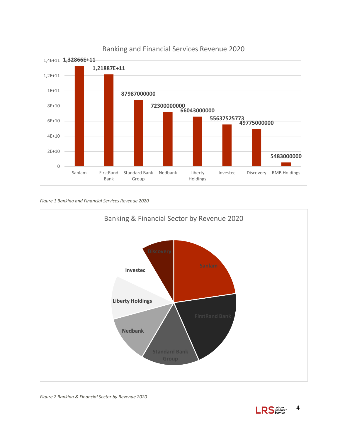

<span id="page-4-0"></span>*Figure 1 Banking and Financial Services Revenue 2020*



<span id="page-4-1"></span>*Figure 2 Banking & Financial Sector by Revenue 2020*

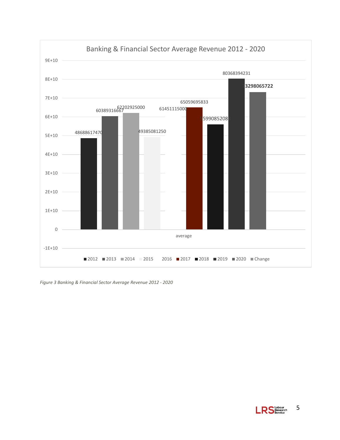

<span id="page-5-0"></span>*Figure 3 Banking & Financial Sector Average Revenue 2012 - 2020*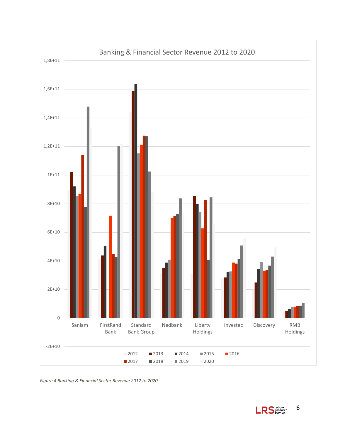

<span id="page-6-0"></span>*Figure 4 Banking & Financial Sector Revenue 2012 to 2020*

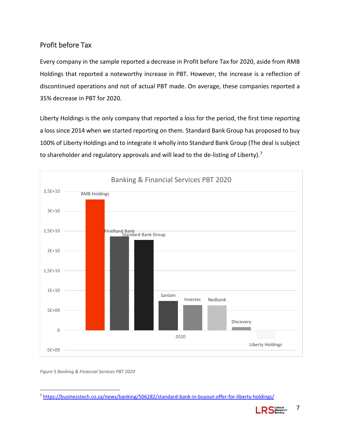#### <span id="page-7-0"></span>Profit before Tax

Every company in the sample reported a decrease in Profit before Tax for 2020, aside from RMB Holdings that reported a noteworthy increase in PBT. However, the increase is a reflection of discontinued operations and not of actual PBT made. On average, these companies reported a 35% decrease in PBT for 2020.

Liberty Holdings is the only company that reported a loss for the period, the first time reporting a loss since 2014 when we started reporting on them. Standard Bank Group has proposed to buy 100% of Liberty Holdings and to integrate it wholly into Standard Bank Group (The deal is subject to shareholder and regulatory approvals and will lead to the de-listing of Liberty).<sup>[7](#page-7-2)</sup>



<span id="page-7-1"></span>*Figure 5 Banking & Financial Services PBT 2020*

<span id="page-7-2"></span> <sup>7</sup> <https://businesstech.co.za/news/banking/506282/standard-bank-in-buyout-offer-for-liberty-holdings/>

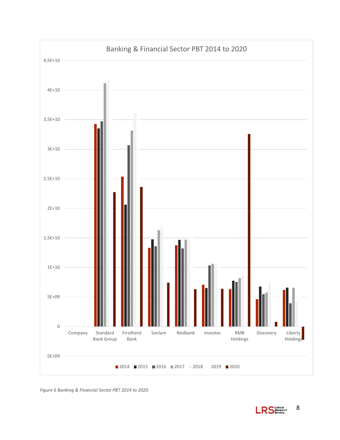

<span id="page-8-0"></span>*Figure 6 Banking & Financial Sector PBT 2014 to 2020*

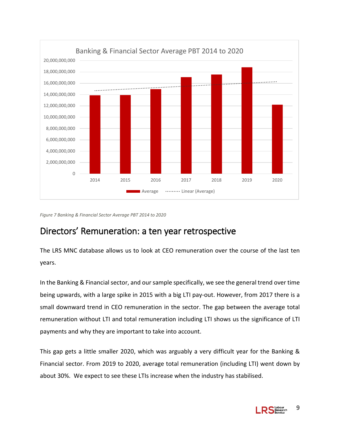

<span id="page-9-1"></span>*Figure 7 Banking & Financial Sector Average PBT 2014 to 2020*

## <span id="page-9-0"></span>Directors' Remuneration: a ten year retrospective

The LRS MNC database allows us to look at CEO remuneration over the course of the last ten years.

In the Banking & Financial sector, and our sample specifically, we see the general trend over time being upwards, with a large spike in 2015 with a big LTI pay-out. However, from 2017 there is a small downward trend in CEO remuneration in the sector. The gap between the average total remuneration without LTI and total remuneration including LTI shows us the significance of LTI payments and why they are important to take into account.

This gap gets a little smaller 2020, which was arguably a very difficult year for the Banking & Financial sector. From 2019 to 2020, average total remuneration (including LTI) went down by about 30%. We expect to see these LTIs increase when the industry has stabilised.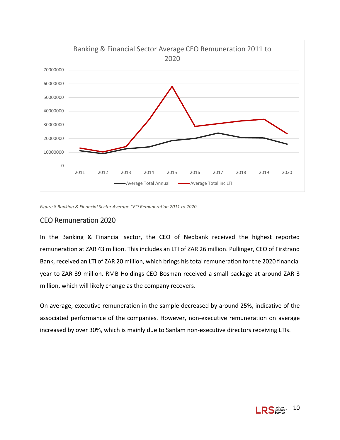

<span id="page-10-1"></span>*Figure 8 Banking & Financial Sector Average CEO Remuneration 2011 to 2020*

#### <span id="page-10-0"></span>CEO Remuneration 2020

In the Banking & Financial sector, the CEO of Nedbank received the highest reported remuneration at ZAR 43 million. This includes an LTI of ZAR 26 million. Pullinger, CEO of Firstrand Bank, received an LTI of ZAR 20 million, which brings his total remuneration for the 2020 financial year to ZAR 39 million. RMB Holdings CEO Bosman received a small package at around ZAR 3 million, which will likely change as the company recovers.

On average, executive remuneration in the sample decreased by around 25%, indicative of the associated performance of the companies. However, non-executive remuneration on average increased by over 30%, which is mainly due to Sanlam non-executive directors receiving LTIs.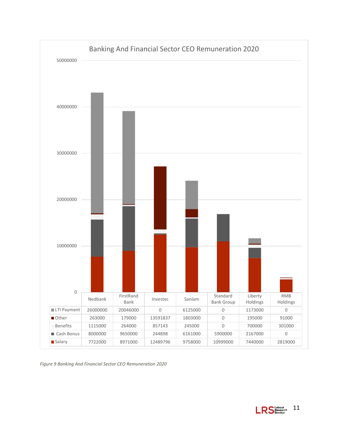

<span id="page-11-0"></span>*Figure 9 Banking And Financial Sector CEO Remuneration 2020*